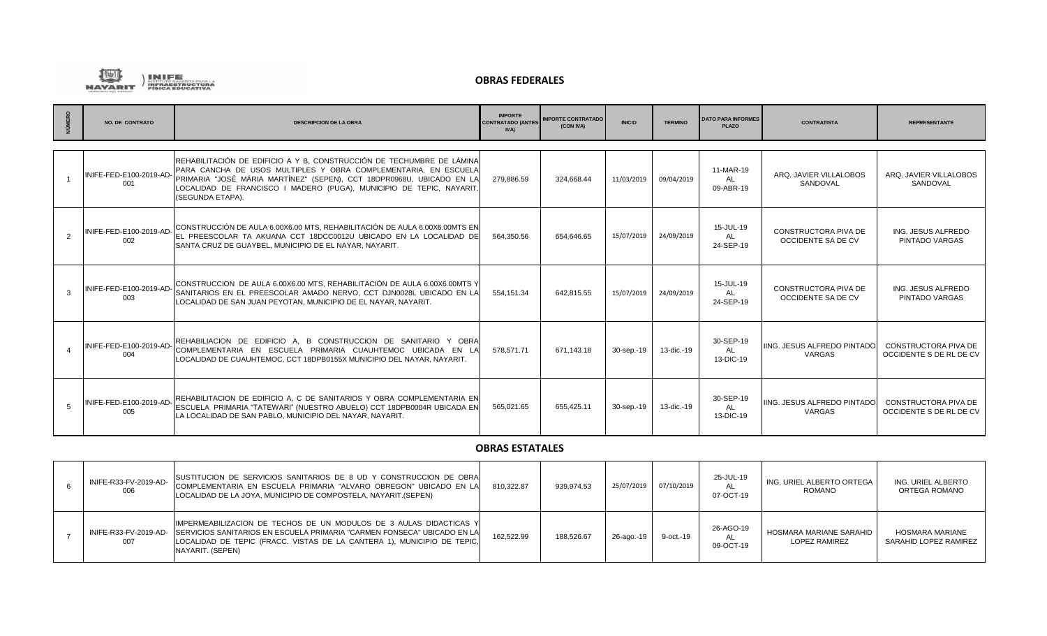

|               | <b>NO. DE CONTRATO</b>         | <b>DESCRIPCION DE LA OBRA</b>                                                                                                                                                                                                                                                                                 | <b>IMPORTE</b><br><b>CONTRATADO (ANTES</b><br><b>IVA</b> | <b>IMPORTE CONTRATADO</b><br>(CON IVA) | <b>INICIO</b> | <b>TERMINO</b> | <b>DATO PARA INFORMES</b><br><b>PLAZO</b> | <b>CONTRATISTA</b>                                | <b>REPRESENTANTE</b>                                   |
|---------------|--------------------------------|---------------------------------------------------------------------------------------------------------------------------------------------------------------------------------------------------------------------------------------------------------------------------------------------------------------|----------------------------------------------------------|----------------------------------------|---------------|----------------|-------------------------------------------|---------------------------------------------------|--------------------------------------------------------|
|               |                                |                                                                                                                                                                                                                                                                                                               |                                                          |                                        |               |                |                                           |                                                   |                                                        |
|               | INIFE-FED-E100-2019-AD<br>001  | REHABILITACIÓN DE EDIFICIO A Y B, CONSTRUCCIÓN DE TECHUMBRE DE LÁMINA<br>PARA CANCHA DE USOS MULTIPLES Y OBRA COMPLEMENTARIA, EN ESCUELA<br>PRIMARIA "JOSÉ MÁRIA MARTÍNEZ" (SEPEN), CCT 18DPR0968U, UBICADO EN LA<br>LOCALIDAD DE FRANCISCO I MADERO (PUGA), MUNICIPIO DE TEPIC, NAYARIT.<br>(SEGUNDA ETAPA). | 279,886.59                                               | 324.668.44                             | 11/03/2019    | 09/04/2019     | 11-MAR-19<br>AL<br>09-ABR-19              | ARQ. JAVIER VILLALOBOS<br>SANDOVAL                | ARQ. JAVIER VILLALOBOS<br>SANDOVAL                     |
| $\mathcal{P}$ | INIFE-FED-E100-2019-AD-<br>002 | CONSTRUCCIÓN DE AULA 6.00X6.00 MTS, REHABILITACIÓN DE AULA 6.00X6.00MTS EN<br>IEL PREESCOLAR TA AKUANA CCT 18DCC0012U UBICADO EN LA LOCALIDAD DEI<br>SANTA CRUZ DE GUAYBEL, MUNICIPIO DE EL NAYAR, NAYARIT.                                                                                                   | 564.350.56                                               | 654.646.65                             | 15/07/2019    | 24/09/2019     | 15-JUL-19<br>AL<br>24-SEP-19              | CONSTRUCTORA PIVA DE<br><b>OCCIDENTE SA DE CV</b> | ING. JESUS ALFREDO<br>PINTADO VARGAS                   |
|               | INIFE-FED-E100-2019-AD-<br>003 | CONSTRUCCION DE AULA 6.00X6.00 MTS, REHABILITACIÓN DE AULA 6.00X6.00MTS Y<br>SANITARIOS EN EL PREESCOLAR AMADO NERVO, CCT DJN0028L UBICADO EN LA<br>LOCALIDAD DE SAN JUAN PEYOTAN, MUNICIPIO DE EL NAYAR, NAYARIT.                                                                                            | 554,151.34                                               | 642.815.55                             | 15/07/2019    | 24/09/2019     | 15-JUL-19<br><b>AL</b><br>24-SEP-19       | CONSTRUCTORA PIVA DE<br>OCCIDENTE SA DE CV        | ING. JESUS ALFREDO<br>PINTADO VARGAS                   |
|               | INIFE-FED-E100-2019-AD-<br>004 | REHABILIACION DE EDIFICIO A, B CONSTRUCCION DE SANITARIO Y OBRA<br>ICOMPLEMENTARIA EN ESCUELA PRIMARIA CUAUHTEMOC UBICADA EN LA<br>LOCALIDAD DE CUAUHTEMOC, CCT 18DPB0155X MUNICIPIO DEL NAYAR, NAYARIT.                                                                                                      | 578,571.71                                               | 671.143.18                             | 30-sep.-19    | 13-dic.-19     | 30-SEP-19<br><b>AL</b><br>13-DIC-19       | <b>IING. JESUS ALFREDO PINTADO</b><br>VARGAS      | <b>CONSTRUCTORA PIVA DE</b><br>OCCIDENTE S DE RL DE CV |
|               | INIFE-FED-E100-2019-AD-<br>005 | REHABILITACION DE EDIFICIO A, C DE SANITARIOS Y OBRA COMPLEMENTARIA EN<br>ESCUELA PRIMARIA "TATEWARI" (NUESTRO ABUELO) CCT 18DPB0004R UBICADA EN<br>LA LOCALIDAD DE SAN PABLO. MUNICIPIO DEL NAYAR. NAYARIT.                                                                                                  | 565,021.65                                               | 655.425.11                             | 30-sep.-19    | 13-dic.-19     | 30-SEP-19<br><b>AL</b><br>13-DIC-19       | <b>IING. JESUS ALFREDO PINTADO</b><br>VARGAS      | <b>CONSTRUCTORA PIVA DE</b><br>OCCIDENTE S DE RL DE CV |

## **OBRAS ESTATALES**

| INIFE-R33-FV-2019-AD-<br>006 | ISUSTITUCION DE SERVICIOS SANITARIOS DE 8 UD Y CONSTRUCCION DE OBRA<br>COMPLEMENTARIA EN ESCUELA PRIMARIA "ALVARO OBREGON" UBICADO EN LA<br>LOCALIDAD DE LA JOYA, MUNICIPIO DE COMPOSTELA, NAYARIT. (SEPEN)                                                         | 810.322.87 | 939.974.53 | 25/07/2019 | 07/10/2019 | 25-JUL-19<br>AL<br>07-OCT-19 | ING. URIEL ALBERTO ORTEGA<br>ROMANO             | ING. URIEL ALBERTO<br>ORTEGA ROMANO      |
|------------------------------|---------------------------------------------------------------------------------------------------------------------------------------------------------------------------------------------------------------------------------------------------------------------|------------|------------|------------|------------|------------------------------|-------------------------------------------------|------------------------------------------|
| 007                          | IMPERMEABILIZACION DE TECHOS DE UN MODULOS DE 3 AULAS DIDACTICAS Y<br>INIFE-R33-FV-2019-AD- SERVICIOS SANITARIOS EN ESCUELA PRIMARIA "CARMEN FONSECA" UBICADO EN LA<br>LOCALIDAD DE TEPIC (FRACC. VISTAS DE LA CANTERA 1), MUNICIPIO DE TEPIC,<br>INAYARIT. (SEPEN) | 162,522.99 | 188.526.67 | 26-ago.-19 | 9-oct.-19  | 26-AGO-19<br>AL<br>09-OCT-19 | HOSMARA MARIANE SARAHID<br><b>LOPEZ RAMIREZ</b> | HOSMARA MARIANE<br>SARAHID LOPEZ RAMIREZ |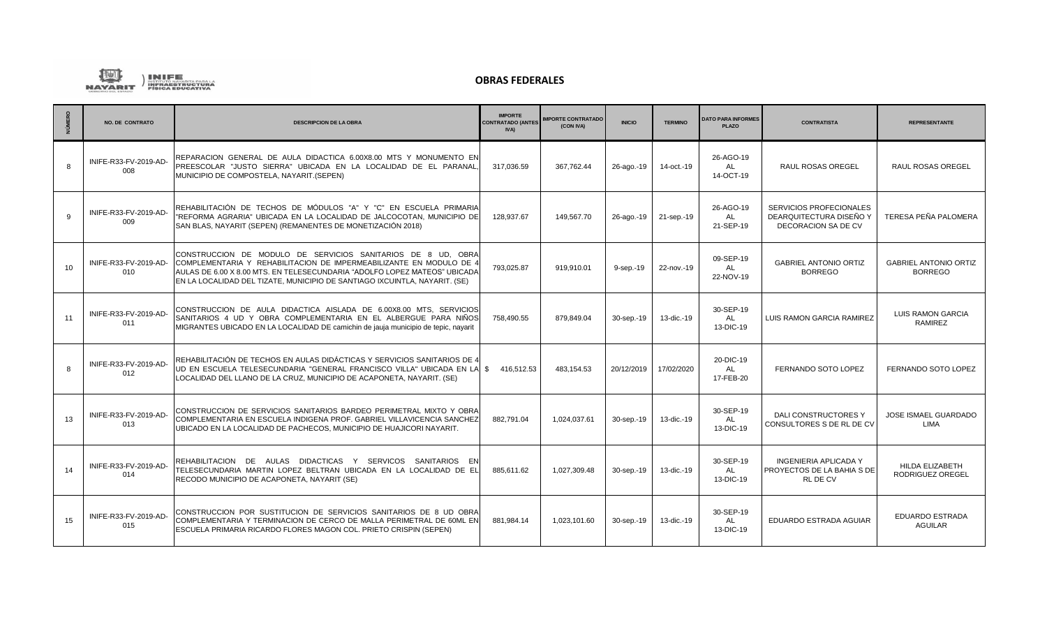

| <b>NÚMERO</b> | <b>NO. DE CONTRATO</b>       | <b>DESCRIPCION DE LA OBRA</b>                                                                                                                                                                                                                                                                  | <b>IMPORTE</b><br>ONTRATADO (ANTES<br><b>IVA</b> | <b>MPORTE CONTRATADO</b><br>(CON IVA) | <b>INICIO</b> | <b>TERMINO</b> | <b>DATO PARA INFORMES</b><br><b>PLAZO</b> | <b>CONTRATISTA</b>                                                            | <b>REPRESENTANTE</b>                           |
|---------------|------------------------------|------------------------------------------------------------------------------------------------------------------------------------------------------------------------------------------------------------------------------------------------------------------------------------------------|--------------------------------------------------|---------------------------------------|---------------|----------------|-------------------------------------------|-------------------------------------------------------------------------------|------------------------------------------------|
| $\mathbf{a}$  | INIFE-R33-FV-2019-AD-<br>008 | REPARACION GENERAL DE AULA DIDACTICA 6.00X8.00 MTS Y MONUMENTO ENI<br>PREESCOLAR "JUSTO SIERRA" UBICADA EN LA LOCALIDAD DE EL PARANAL,<br>MUNICIPIO DE COMPOSTELA, NAYARIT.(SEPEN)                                                                                                             | 317,036.59                                       | 367.762.44                            | 26-ago.-19    | 14-oct.-19     | 26-AGO-19<br><b>AL</b><br>14-OCT-19       | <b>RAUL ROSAS OREGEL</b>                                                      | RAUL ROSAS OREGEL                              |
| 9             | INIFE-R33-FV-2019-AD-<br>009 | REHABILITACIÓN DE TECHOS DE MÓDULOS "A" Y "C" EN ESCUELA PRIMARIA<br>"REFORMA AGRARIA" UBICADA EN LA LOCALIDAD DE JALCOCOTAN. MUNICIPIO DE<br>SAN BLAS, NAYARIT (SEPEN) (REMANENTES DE MONETIZACIÓN 2018)                                                                                      | 128.937.67                                       | 149.567.70                            | 26-ago.-19    | 21-sep.-19     | 26-AGO-19<br>AL<br>21-SEP-19              | SERVICIOS PROFECIONALES<br>DEARQUITECTURA DISEÑO Y<br>DECORACION SA DE CV     | TERESA PEÑA PALOMERA                           |
| 10            | INIFE-R33-FV-2019-AD-<br>010 | CONSTRUCCION DE MODULO DE SERVICIOS SANITARIOS DE 8 UD, OBRA<br>COMPLEMENTARIA Y REHABILITACION DE IMPERMEABILIZANTE EN MODULO DE 4<br>AULAS DE 6.00 X 8.00 MTS. EN TELESECUNDARIA "ADOLFO LOPEZ MATEOS" UBICADA<br>EN LA LOCALIDAD DEL TIZATE, MUNICIPIO DE SANTIAGO IXCUINTLA, NAYARIT. (SE) | 793,025.87                                       | 919,910.01                            | 9-sep.-19     | 22-nov.-19     | 09-SEP-19<br>AL<br>22-NOV-19              | <b>GABRIEL ANTONIO ORTIZ</b><br><b>BORREGO</b>                                | <b>GABRIEL ANTONIO ORTIZ</b><br><b>BORREGO</b> |
| 11            | INIFE-R33-FV-2019-AD-<br>011 | CONSTRUCCION DE AULA DIDACTICA AISLADA DE 6.00X8.00 MTS, SERVICIOS<br>SANITARIOS 4 UD Y OBRA COMPLEMENTARIA EN EL ALBERGUE PARA NIÑOS<br>MIGRANTES UBICADO EN LA LOCALIDAD DE camichin de jauja municipio de tepic, nayarit                                                                    | 758,490.55                                       | 879,849.04                            | 30-sep.-19    | 13-dic.-19     | 30-SEP-19<br>AL<br>13-DIC-19              | LUIS RAMON GARCIA RAMIREZ                                                     | <b>LUIS RAMON GARCIA</b><br><b>RAMIREZ</b>     |
| 8             | INIFE-R33-FV-2019-AD-<br>012 | REHABILITACIÓN DE TECHOS EN AULAS DIDÁCTICAS Y SERVICIOS SANITARIOS DE 4<br>UD EN ESCUELA TELESECUNDARIA "GENERAL FRANCISCO VILLA" UBICADA EN LA S<br>LOCALIDAD DEL LLANO DE LA CRUZ, MUNICIPIO DE ACAPONETA, NAYARIT. (SE)                                                                    | 416,512.53                                       | 483,154.53                            | 20/12/2019    | 17/02/2020     | 20-DIC-19<br>AL<br>17-FEB-20              | FERNANDO SOTO LOPEZ                                                           | FERNANDO SOTO LOPEZ                            |
| 13            | INIFE-R33-FV-2019-AD-<br>013 | CONSTRUCCION DE SERVICIOS SANITARIOS BARDEO PERIMETRAL MIXTO Y OBRA<br>COMPLEMENTARIA EN ESCUELA INDIGENA PROF. GABRIEL VILLAVICENCIA SANCHEZ<br>UBICADO EN LA LOCALIDAD DE PACHECOS, MUNICIPIO DE HUAJICORI NAYARIT.                                                                          | 882,791.04                                       | 1,024,037.61                          | 30-sep.-19    | 13-dic.-19     | 30-SEP-19<br>AL<br>13-DIC-19              | DALI CONSTRUCTORES Y<br>CONSULTORES S DE RL DE CV                             | JOSE ISMAEL GUARDADO<br>LIMA                   |
| 14            | INIFE-R33-FV-2019-AD-<br>014 | REHABILITACION DE AULAS DIDACTICAS Y SERVICOS SANITARIOS EN<br>TELESECUNDARIA MARTIN LOPEZ BELTRAN UBICADA EN LA LOCALIDAD DE EL<br>RECODO MUNICIPIO DE ACAPONETA, NAYARIT (SE)                                                                                                                | 885.611.62                                       | 1.027.309.48                          | 30-sep.-19    | 13-dic.-19     | 30-SEP-19<br><b>AL</b><br>13-DIC-19       | <b>INGENIERIA APLICADA Y</b><br>PROYECTOS DE LA BAHIA S DE<br><b>RL DE CV</b> | HILDA ELIZABETH<br>RODRIGUEZ OREGEL            |
| 15            | INIFE-R33-FV-2019-AD-<br>015 | CONSTRUCCION POR SUSTITUCION DE SERVICIOS SANITARIOS DE 8 UD OBRA<br>COMPLEMENTARIA Y TERMINACION DE CERCO DE MALLA PERIMETRAL DE 60ML EN<br>ESCUELA PRIMARIA RICARDO FLORES MAGON COL. PRIETO CRISPIN (SEPEN)                                                                                 | 881,984.14                                       | 1,023,101.60                          | 30-sep.-19    | 13-dic.-19     | 30-SEP-19<br><b>AL</b><br>13-DIC-19       | EDUARDO ESTRADA AGUIAR                                                        | <b>EDUARDO ESTRADA</b><br><b>AGUILAR</b>       |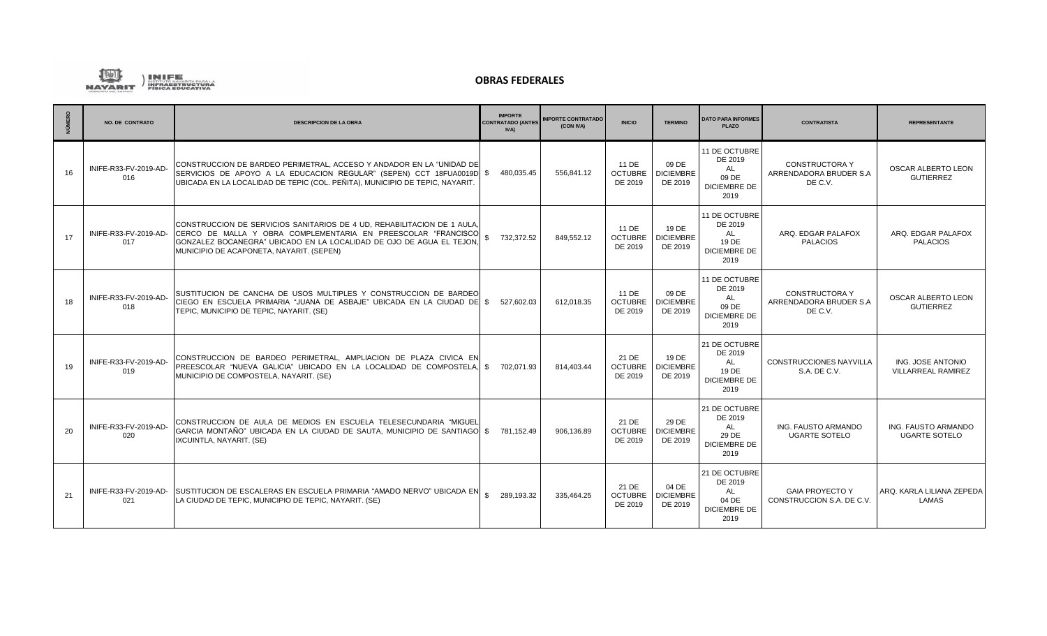

| NÚMERO | <b>NO. DE CONTRATO</b>       | <b>DESCRIPCION DE LA OBRA</b>                                                                                                                                                                                                                               | <b>IMPORTE</b><br>CONTRATADO (ANTES<br><b>IVA)</b> | <b>IMPORTE CONTRATADO</b><br>(CON IVA) | <b>INICIO</b>                      | <b>TERMINO</b>                       | <b>DATO PARA INFORMES</b><br><b>PLAZO</b>                                     | <b>CONTRATISTA</b>                                          | <b>REPRESENTANTE</b>                           |
|--------|------------------------------|-------------------------------------------------------------------------------------------------------------------------------------------------------------------------------------------------------------------------------------------------------------|----------------------------------------------------|----------------------------------------|------------------------------------|--------------------------------------|-------------------------------------------------------------------------------|-------------------------------------------------------------|------------------------------------------------|
| 16     | INIFE-R33-FV-2019-AD-<br>016 | CONSTRUCCION DE BARDEO PERIMETRAL. ACCESO Y ANDADOR EN LA "UNIDAD DEI<br>SERVICIOS DE APOYO A LA EDUCACION REGULAR" (SEPEN) CCT 18FUA0019D \$<br>UBICADA EN LA LOCALIDAD DE TEPIC (COL. PEÑITA), MUNICIPIO DE TEPIC, NAYARIT.                               | 480,035.45                                         | 556,841.12                             | 11 DE<br><b>OCTUBRE</b><br>DE 2019 | 09 DE<br><b>DICIEMBRE</b><br>DE 2019 | 11 DE OCTUBRE<br>DE 2019<br><b>AL</b><br>09 DE<br><b>DICIEMBRE DE</b><br>2019 | <b>CONSTRUCTORA Y</b><br>ARRENDADORA BRUDER S.A<br>DE C.V.  | OSCAR ALBERTO LEON<br><b>GUTIERREZ</b>         |
| 17     | INIFE-R33-FV-2019-AD-<br>017 | CONSTRUCCION DE SERVICIOS SANITARIOS DE 4 UD, REHABILITACION DE 1 AULA,<br>CERCO DE MALLA Y OBRA COMPLEMENTARIA EN PREESCOLAR "FRANCISCO<br>GONZALEZ BOCANEGRA" UBICADO EN LA LOCALIDAD DE OJO DE AGUA EL TEJON<br>MUNICIPIO DE ACAPONETA, NAYARIT. (SEPEN) | 732,372.52                                         | 849.552.12                             | 11 DE<br><b>OCTUBRE</b><br>DE 2019 | 19 DE<br><b>DICIEMBRE</b><br>DE 2019 | 11 DE OCTUBRE<br>DE 2019<br><b>AL</b><br>19 DE<br><b>DICIEMBRE DE</b><br>2019 | ARQ. EDGAR PALAFOX<br><b>PALACIOS</b>                       | ARQ. EDGAR PALAFOX<br><b>PALACIOS</b>          |
| 18     | INIFE-R33-FV-2019-AD-<br>018 | ISUSTITUCION DE CANCHA DE USOS MULTIPLES Y CONSTRUCCION DE BARDEO<br>CIEGO EN ESCUELA PRIMARIA "JUANA DE ASBAJE" UBICADA EN LA CIUDAD DE \$<br>TEPIC, MUNICIPIO DE TEPIC, NAYARIT. (SE)                                                                     | 527.602.03                                         | 612.018.35                             | 11 DE<br>OCTUBRE  <br>DE 2019      | 09 DE<br><b>DICIEMBRE</b><br>DE 2019 | 11 DE OCTUBRE<br>DE 2019<br>AL<br>09 DE<br><b>DICIEMBRE DE</b><br>2019        | <b>CONSTRUCTORA Y</b><br>ARRENDADORA BRUDER S.A.<br>DE C.V. | OSCAR ALBERTO LEON<br><b>GUTIERREZ</b>         |
| 19     | INIFE-R33-FV-2019-AD-<br>019 | CONSTRUCCION DE BARDEO PERIMETRAL, AMPLIACION DE PLAZA CIVICA EN<br>PREESCOLAR "NUEVA GALICIA" UBICADO EN LA LOCALIDAD DE COMPOSTELA. S<br>MUNICIPIO DE COMPOSTELA, NAYARIT. (SE)                                                                           | 702.071.93                                         | 814.403.44                             | 21 DE<br><b>OCTUBRE</b><br>DE 2019 | 19 DE<br><b>DICIEMBRE</b><br>DE 2019 | 21 DE OCTUBRE<br>DE 2019<br><b>AL</b><br>19 DE<br><b>DICIEMBRE DE</b><br>2019 | <b>CONSTRUCCIONES NAYVILLA</b><br>S.A. DE C.V.              | ING. JOSE ANTONIO<br><b>VILLARREAL RAMIREZ</b> |
| 20     | INIFE-R33-FV-2019-AD-<br>020 | CONSTRUCCION DE AULA DE MEDIOS EN ESCUELA TELESECUNDARIA "MIGUEL<br>GARCIA MONTAÑO" UBICADA EN LA CIUDAD DE SAUTA, MUNICIPIO DE SANTIAGO \$<br>IXCUINTLA, NAYARIT. (SE)                                                                                     | 781,152.49                                         | 906.136.89                             | 21 DE<br><b>OCTUBRE</b><br>DE 2019 | 29 DE<br><b>DICIEMBRE</b><br>DE 2019 | 21 DE OCTUBRE<br>DE 2019<br>AL<br>29 DE<br><b>DICIEMBRE DE</b><br>2019        | ING. FAUSTO ARMANDO<br><b>UGARTE SOTELO</b>                 | ING. FAUSTO ARMANDO<br>UGARTE SOTELO           |
| 21     | INIFE-R33-FV-2019-AD-<br>021 | SUSTITUCION DE ESCALERAS EN ESCUELA PRIMARIA "AMADO NERVO" UBICADA EN \$ 289,193.32<br>LA CIUDAD DE TEPIC, MUNICIPIO DE TEPIC, NAYARIT. (SE)                                                                                                                |                                                    | 335.464.25                             | 21 DE<br><b>OCTUBRE</b><br>DE 2019 | 04 DE<br><b>DICIEMBRE</b><br>DE 2019 | 21 DE OCTUBRE<br>DE 2019<br>AL<br>04 DE<br><b>DICIEMBRE DE</b><br>2019        | <b>GAIA PROYECTO Y</b><br>CONSTRUCCION S.A. DE C.V.         | ARQ. KARLA LILIANA ZEPEDA<br>LAMAS             |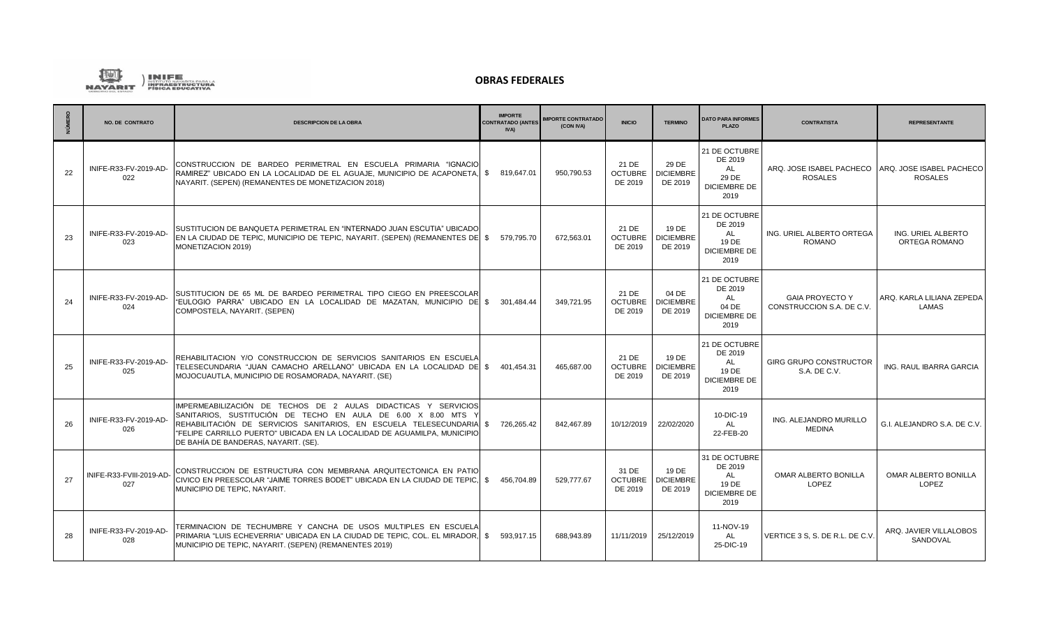

| NÚMERO | <b>NO. DE CONTRATO</b>          | <b>DESCRIPCION DE LA OBRA</b>                                                                                                                                                                                                                                                                                               | <b>IMPORTE</b><br><b>CONTRATADO (ANTES)</b><br><b>IVA</b> | <b>IMPORTE CONTRATADO</b><br>(CON IVA) | <b>INICIO</b>                      | <b>TERMINO</b>                       | <b>DATO PARA INFORMES</b><br><b>PLAZO</b>                                     | <b>CONTRATISTA</b>                                  | <b>REPRESENTANTE</b>                       |
|--------|---------------------------------|-----------------------------------------------------------------------------------------------------------------------------------------------------------------------------------------------------------------------------------------------------------------------------------------------------------------------------|-----------------------------------------------------------|----------------------------------------|------------------------------------|--------------------------------------|-------------------------------------------------------------------------------|-----------------------------------------------------|--------------------------------------------|
| 22     | INIFE-R33-FV-2019-AD-<br>022    | CONSTRUCCION DE BARDEO PERIMETRAL EN ESCUELA PRIMARIA "IGNACIO<br>RAMIREZ" UBICADO EN LA LOCALIDAD DE EL AGUAJE, MUNICIPIO DE ACAPONETA, \$819,647.01<br>NAYARIT. (SEPEN) (REMANENTES DE MONETIZACION 2018)                                                                                                                 |                                                           | 950,790.53                             | 21 DE<br><b>OCTUBRE</b><br>DE 2019 | 29 DE<br><b>DICIEMBRE</b><br>DE 2019 | 21 DE OCTUBRE<br>DE 2019<br><b>AL</b><br>29 DE<br><b>DICIEMBRE DE</b><br>2019 | ARQ. JOSE ISABEL PACHECO<br><b>ROSALES</b>          | ARQ. JOSE ISABEL PACHECO<br><b>ROSALES</b> |
| 23     | INIFE-R33-FV-2019-AD-<br>023    | SUSTITUCION DE BANQUETA PERIMETRAL EN "INTERNADO JUAN ESCUTIA" UBICADO<br>EN LA CIUDAD DE TEPIC, MUNICIPIO DE TEPIC, NAYARIT. (SEPEN) (REMANENTES DE   \$ 579,795.70<br>MONETIZACION 2019)                                                                                                                                  |                                                           | 672,563.01                             | 21 DE<br><b>OCTUBRE</b><br>DE 2019 | 19 DE<br><b>DICIEMBRE</b><br>DE 2019 | 21 DE OCTUBRE<br>DE 2019<br>AL<br>19 DE<br><b>DICIEMBRE DE</b><br>2019        | ING. URIEL ALBERTO ORTEGA<br>ROMANO                 | ING. URIEL ALBERTO<br>ORTEGA ROMANO        |
| 24     | INIFE-R33-FV-2019-AD-<br>024    | SUSTITUCION DE 65 ML DE BARDEO PERIMETRAL TIPO CIEGO EN PREESCOLAR<br>"EULOGIO PARRA" UBICADO EN LA LOCALIDAD DE MAZATAN. MUNICIPIO DEI \$<br>COMPOSTELA, NAYARIT. (SEPEN)                                                                                                                                                  | 301.484.44                                                | 349.721.95                             | 21 DE<br><b>OCTUBRE</b><br>DE 2019 | 04 DE<br><b>DICIEMBRE</b><br>DE 2019 | 21 DE OCTUBRE<br>DE 2019<br>AL<br>04 DE<br><b>DICIEMBRE DE</b><br>2019        | <b>GAIA PROYECTO Y</b><br>CONSTRUCCION S.A. DE C.V. | ARQ. KARLA LILIANA ZEPEDA<br>LAMAS         |
| 25     | INIFE-R33-FV-2019-AD-<br>025    | REHABILITACION Y/O CONSTRUCCION DE SERVICIOS SANITARIOS EN ESCUELA<br>TELESECUNDARIA "JUAN CAMACHO ARELLANO" UBICADA EN LA LOCALIDAD DE  \$ 401.454.31<br>MOJOCUAUTLA, MUNICIPIO DE ROSAMORADA, NAYARIT, (SE)                                                                                                               |                                                           | 465.687.00                             | 21 DE<br><b>OCTUBRE</b><br>DE 2019 | 19 DE<br><b>DICIEMBRE</b><br>DE 2019 | 21 DE OCTUBRE<br>DE 2019<br>AL<br>19 DE<br><b>DICIEMBRE DE</b><br>2019        | <b>GIRG GRUPO CONSTRUCTOR</b><br>S.A. DE C.V.       | ING. RAUL IBARRA GARCIA                    |
| 26     | INIFE-R33-FV-2019-AD-<br>026    | IMPERMEABILIZACIÓN DE TECHOS DE 2 AULAS DIDACTICAS Y SERVICIOS<br>SANITARIOS, SUSTITUCIÓN DE TECHO EN AULA DE 6.00 X 8.00 MTS Y<br>REHABILITACIÓN DE SERVICIOS SANITARIOS. EN ESCUELA TELESECUNDARIA \$<br>"FELIPE CARRILLO PUERTO" UBICADA EN LA LOCALIDAD DE AGUAMILPA, MUNICIPIO<br>DE BAHÍA DE BANDERAS, NAYARIT. (SE). | 726.265.42                                                | 842.467.89                             | 10/12/2019                         | 22/02/2020                           | 10-DIC-19<br>AL<br>22-FEB-20                                                  | ING. ALEJANDRO MURILLO<br><b>MEDINA</b>             | G.I. ALEJANDRO S.A. DE C.V.                |
| 27     | INIFE-R33-FVIII-2019-AD-<br>027 | CONSTRUCCION DE ESTRUCTURA CON MEMBRANA ARQUITECTONICA EN PATIO<br>CIVICO EN PREESCOLAR "JAIME TORRES BODET" UBICADA EN LA CIUDAD DE TEPIC.<br>MUNICIPIO DE TEPIC, NAYARIT.                                                                                                                                                 | 456.704.89<br><b>S</b>                                    | 529,777.67                             | 31 DE<br><b>OCTUBRE</b><br>DE 2019 | 19 DE<br><b>DICIEMBRE</b><br>DE 2019 | 31 DE OCTUBRE<br>DE 2019<br><b>AL</b><br>19 DE<br><b>DICIEMBRE DE</b><br>2019 | OMAR ALBERTO BONILLA<br><b>LOPEZ</b>                | OMAR ALBERTO BONILLA<br>LOPEZ              |
| 28     | INIFE-R33-FV-2019-AD-<br>028    | TERMINACION DE TECHUMBRE Y CANCHA DE USOS MULTIPLES EN ESCUELA<br>PRIMARIA "LUIS ECHEVERRIA" UBICADA EN LA CIUDAD DE TEPIC, COL. EL MIRADOR, S 593,917.15<br>MUNICIPIO DE TEPIC, NAYARIT. (SEPEN) (REMANENTES 2019)                                                                                                         |                                                           | 688.943.89                             | 11/11/2019                         | 25/12/2019                           | 11-NOV-19<br>AL<br>25-DIC-19                                                  | VERTICE 3 S. S. DE R.L. DE C.V.                     | ARQ. JAVIER VILLALOBOS<br>SANDOVAL         |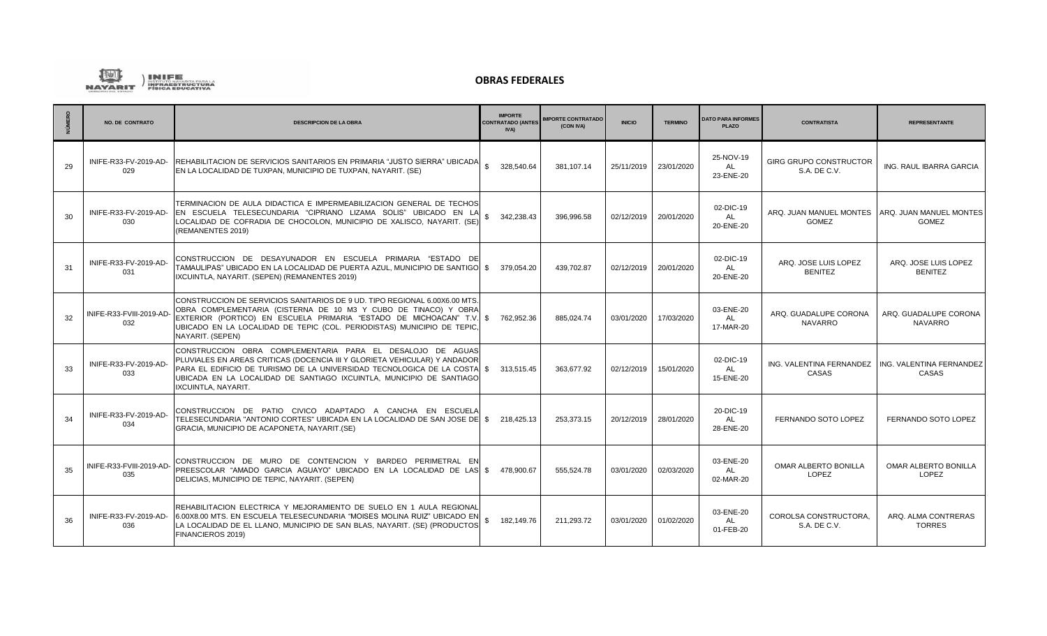

|    | <b>NO. DE CONTRATO</b>          | <b>DESCRIPCION DE LA OBRA</b>                                                                                                                                                                                                                                                                                                   | <b>IMPORTE</b><br><b>CONTRATADO (ANTES</b><br><b>IVA)</b> | <b>IMPORTE CONTRATADO</b><br>(CON IVA) | <b>INICIO</b> | <b>TERMINO</b> | <b>DATO PARA INFORMES</b><br><b>PLAZO</b> | <b>CONTRATISTA</b>                                         | <b>REPRESENTANTE</b>                    |
|----|---------------------------------|---------------------------------------------------------------------------------------------------------------------------------------------------------------------------------------------------------------------------------------------------------------------------------------------------------------------------------|-----------------------------------------------------------|----------------------------------------|---------------|----------------|-------------------------------------------|------------------------------------------------------------|-----------------------------------------|
| 29 | INIFE-R33-FV-2019-AD-<br>029    | REHABILITACION DE SERVICIOS SANITARIOS EN PRIMARIA "JUSTO SIERRA" UBICADA<br>EN LA LOCALIDAD DE TUXPAN, MUNICIPIO DE TUXPAN, NAYARIT. (SE)                                                                                                                                                                                      | 328.540.64                                                | 381.107.14                             | 25/11/2019    | 23/01/2020     | 25-NOV-19<br><b>AL</b><br>23-ENE-20       | <b>GIRG GRUPO CONSTRUCTOR</b><br>S.A. DE C.V.              | ING. RAUL IBARRA GARCIA                 |
| 30 | INIFE-R33-FV-2019-AD-<br>030    | TERMINACION DE AULA DIDACTICA E IMPERMEABILIZACION GENERAL DE TECHOS<br>EN ESCUELA TELESECUNDARIA "CIPRIANO LIZAMA SOLIS" UBICADO EN LA<br>LOCALIDAD DE COFRADIA DE CHOCOLON, MUNICIPIO DE XALISCO, NAYARIT. (SE<br>(REMANENTES 2019)                                                                                           | 342,238.43                                                | 396.996.58                             | 02/12/2019    | 20/01/2020     | 02-DIC-19<br><b>AL</b><br>20-ENE-20       | ARQ. JUAN MANUEL MONTES<br><b>GOMEZ</b>                    | ARQ. JUAN MANUEL MONTES<br><b>GOMEZ</b> |
| 31 | INIFE-R33-FV-2019-AD-<br>031    | CONSTRUCCION DE DESAYUNADOR EN ESCUELA PRIMARIA "ESTADO DE<br>TAMAULIPAS" UBICADO EN LA LOCALIDAD DE PUERTA AZUL, MUNICIPIO DE SANTIGO \$ 379,054.20<br>IXCUINTLA, NAYARIT. (SEPEN) (REMANENTES 2019)                                                                                                                           |                                                           | 439.702.87                             | 02/12/2019    | 20/01/2020     | 02-DIC-19<br>AL<br>20-ENE-20              | ARQ. JOSE LUIS LOPEZ<br><b>BENITEZ</b>                     | ARQ. JOSE LUIS LOPEZ<br><b>BENITEZ</b>  |
| 32 | INIFE-R33-FVIII-2019-AD-<br>032 | CONSTRUCCION DE SERVICIOS SANITARIOS DE 9 UD. TIPO REGIONAL 6.00X6.00 MTS.<br>OBRA COMPLEMENTARIA (CISTERNA DE 10 M3 Y CUBO DE TINACO) Y OBRA<br>EXTERIOR (PORTICO) EN ESCUELA PRIMARIA "ESTADO DE MICHOACAN" T.V. \$ 762,952.36<br>UBICADO EN LA LOCALIDAD DE TEPIC (COL. PERIODISTAS) MUNICIPIO DE TEPIC,<br>NAYARIT. (SEPEN) |                                                           | 885.024.74                             | 03/01/2020    | 17/03/2020     | 03-ENE-20<br><b>AL</b><br>17-MAR-20       | ARQ. GUADALUPE CORONA<br><b>NAVARRO</b>                    | ARQ. GUADALUPE CORONA<br><b>NAVARRO</b> |
| 33 | INIFE-R33-FV-2019-AD-<br>033    | CONSTRUCCION OBRA COMPLEMENTARIA PARA EL DESALOJO DE AGUAS<br>PLUVIALES EN AREAS CRITICAS (DOCENCIA III Y GLORIETA VEHICULAR) Y ANDADOR<br>PARA EL EDIFICIO DE TURISMO DE LA UNIVERSIDAD TECNOLOGICA DE LA COSTA \$313.515.45<br>UBICADA EN LA LOCALIDAD DE SANTIAGO IXCUINTLA, MUNICIPIO DE SANTIAGO<br>IXCUINTLA, NAYARIT.    |                                                           | 363.677.92                             | 02/12/2019    | 15/01/2020     | 02-DIC-19<br><b>AL</b><br>15-ENE-20       | ING. VALENTINA FERNANDEZ ING. VALENTINA FERNANDEZ<br>CASAS | CASAS                                   |
| 34 | INIFE-R33-FV-2019-AD-<br>034    | CONSTRUCCION DE PATIO CIVICO ADAPTADO A CANCHA EN ESCUELA<br>TELESECUNDARIA "ANTONIO CORTES" UBICADA EN LA LOCALIDAD DE SAN JOSE DEI \$218.425.13<br>GRACIA, MUNICIPIO DE ACAPONETA, NAYARIT. (SE)                                                                                                                              |                                                           | 253.373.15                             | 20/12/2019    | 28/01/2020     | 20-DIC-19<br>AL<br>28-ENE-20              | FERNANDO SOTO LOPEZ                                        | FERNANDO SOTO LOPEZ                     |
| 35 | INIFE-R33-FVIII-2019-AD-<br>035 | CONSTRUCCION DE MURO DE CONTENCION Y BARDEO PERIMETRAL EN<br>PREESCOLAR "AMADO GARCIA AGUAYO" UBICADO EN LA LOCALIDAD DE LAS \$478,900.67<br>DELICIAS, MUNICIPIO DE TEPIC, NAYARIT. (SEPEN)                                                                                                                                     |                                                           | 555,524.78                             | 03/01/2020    | 02/03/2020     | 03-ENE-20<br>AL<br>02-MAR-20              | OMAR ALBERTO BONILLA<br><b>LOPEZ</b>                       | OMAR ALBERTO BONILLA<br>LOPEZ           |
| 36 | INIFE-R33-FV-2019-AD-<br>036    | REHABILITACION ELECTRICA Y MEJORAMIENTO DE SUELO EN 1 AULA REGIONAL<br>6.00X8.00 MTS. EN ESCUELA TELESECUNDARIA "MOISES MOLINA RUIZ" UBICADO EN<br>LA LOCALIDAD DE EL LLANO, MUNICIPIO DE SAN BLAS, NAYARIT. (SE) (PRODUCTOS<br>FINANCIEROS 2019)                                                                               | 182,149.76                                                | 211,293.72                             | 03/01/2020    | 01/02/2020     | 03-ENE-20<br><b>AL</b><br>01-FEB-20       | COROLSA CONSTRUCTORA,<br>S.A. DE C.V.                      | ARQ. ALMA CONTRERAS<br><b>TORRES</b>    |